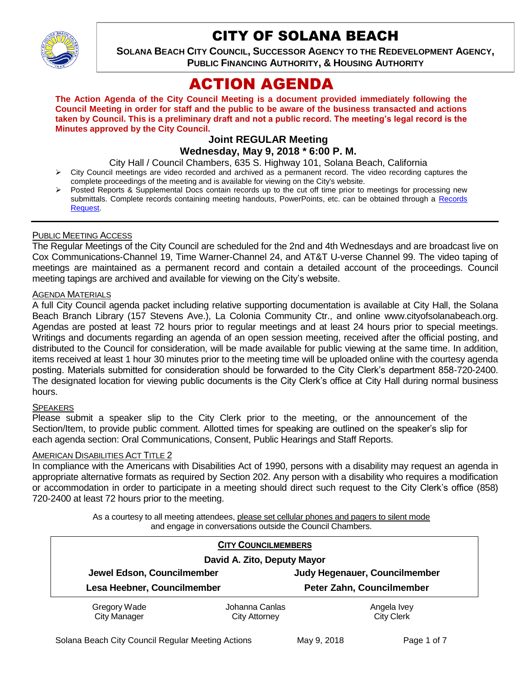

# CITY OF SOLANA BEACH

**SOLANA BEACH CITY COUNCIL, SUCCESSOR AGENCY TO THE REDEVELOPMENT AGENCY, PUBLIC FINANCING AUTHORITY, & HOUSING AUTHORITY** 

# ACTION AGENDA

**The Action Agenda of the City Council Meeting is a document provided immediately following the Council Meeting in order for staff and the public to be aware of the business transacted and actions taken by Council. This is a preliminary draft and not a public record. The meeting's legal record is the Minutes approved by the City Council.**

#### **Joint REGULAR Meeting Wednesday, May 9, 2018 \* 6:00 P. M.**

City Hall / Council Chambers, 635 S. Highway 101, Solana Beach, California

- City Council meetings are video recorded and archived as a permanent record. The video recording captures the complete proceedings of the meeting and is available for viewing on the City's website.
- Posted Reports & Supplemental Docs contain records up to the cut off time prior to meetings for processing new submittals. Complete records containing meeting handouts, PowerPoints, etc. can be obtained through a [Records](http://www.ci.solana-beach.ca.us/index.asp?SEC=F5D45D10-70CE-4291-A27C-7BD633FC6742&Type=B_BASIC) [Request.](http://www.ci.solana-beach.ca.us/index.asp?SEC=F5D45D10-70CE-4291-A27C-7BD633FC6742&Type=B_BASIC)

## PUBLIC MEETING ACCESS

The Regular Meetings of the City Council are scheduled for the 2nd and 4th Wednesdays and are broadcast live on Cox Communications-Channel 19, Time Warner-Channel 24, and AT&T U-verse Channel 99. The video taping of meetings are maintained as a permanent record and contain a detailed account of the proceedings. Council meeting tapings are archived and available for viewing on the City's website.

#### AGENDA MATERIALS

A full City Council agenda packet including relative supporting documentation is available at City Hall, the Solana Beach Branch Library (157 Stevens Ave.), La Colonia Community Ctr., and online www.cityofsolanabeach.org. Agendas are posted at least 72 hours prior to regular meetings and at least 24 hours prior to special meetings. Writings and documents regarding an agenda of an open session meeting, received after the official posting, and distributed to the Council for consideration, will be made available for public viewing at the same time. In addition, items received at least 1 hour 30 minutes prior to the meeting time will be uploaded online with the courtesy agenda posting. Materials submitted for consideration should be forwarded to the City Clerk's department 858-720-2400. The designated location for viewing public documents is the City Clerk's office at City Hall during normal business hours.

#### **SPEAKERS**

Please submit a speaker slip to the City Clerk prior to the meeting, or the announcement of the Section/Item, to provide public comment. Allotted times for speaking are outlined on the speaker's slip for each agenda section: Oral Communications, Consent, Public Hearings and Staff Reports.

#### AMERICAN DISABILITIES ACT TITLE 2

In compliance with the Americans with Disabilities Act of 1990, persons with a disability may request an agenda in appropriate alternative formats as required by Section 202. Any person with a disability who requires a modification or accommodation in order to participate in a meeting should direct such request to the City Clerk's office (858) 720-2400 at least 72 hours prior to the meeting.

> As a courtesy to all meeting attendees, please set cellular phones and pagers to silent mode and engage in conversations outside the Council Chambers.

| <b>CITY COUNCILMEMBERS</b>          |                                        |                                      |
|-------------------------------------|----------------------------------------|--------------------------------------|
| David A. Zito, Deputy Mayor         |                                        |                                      |
| Jewel Edson, Councilmember          |                                        | <b>Judy Hegenauer, Councilmember</b> |
| Lesa Heebner, Councilmember         |                                        | Peter Zahn, Councilmember            |
| Gregory Wade<br><b>City Manager</b> | Johanna Canlas<br><b>City Attorney</b> | Angela Ivey<br><b>City Clerk</b>     |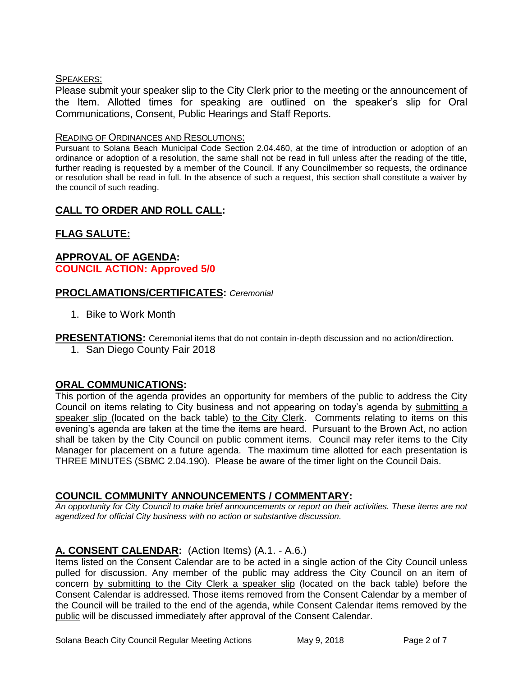#### SPEAKERS:

Please submit your speaker slip to the City Clerk prior to the meeting or the announcement of the Item. Allotted times for speaking are outlined on the speaker's slip for Oral Communications, Consent, Public Hearings and Staff Reports.

#### READING OF ORDINANCES AND RESOLUTIONS:

Pursuant to Solana Beach Municipal Code Section 2.04.460, at the time of introduction or adoption of an ordinance or adoption of a resolution, the same shall not be read in full unless after the reading of the title, further reading is requested by a member of the Council. If any Councilmember so requests, the ordinance or resolution shall be read in full. In the absence of such a request, this section shall constitute a waiver by the council of such reading.

# **CALL TO ORDER AND ROLL CALL:**

# **FLAG SALUTE:**

## **APPROVAL OF AGENDA: COUNCIL ACTION: Approved 5/0**

## **PROCLAMATIONS/CERTIFICATES:** *Ceremonial*

1. Bike to Work Month

**PRESENTATIONS:** Ceremonial items that do not contain in-depth discussion and no action/direction.

1. San Diego County Fair 2018

## **ORAL COMMUNICATIONS:**

This portion of the agenda provides an opportunity for members of the public to address the City Council on items relating to City business and not appearing on today's agenda by submitting a speaker slip (located on the back table) to the City Clerk. Comments relating to items on this evening's agenda are taken at the time the items are heard. Pursuant to the Brown Act, no action shall be taken by the City Council on public comment items. Council may refer items to the City Manager for placement on a future agenda. The maximum time allotted for each presentation is THREE MINUTES (SBMC 2.04.190). Please be aware of the timer light on the Council Dais.

## **COUNCIL COMMUNITY ANNOUNCEMENTS / COMMENTARY:**

*An opportunity for City Council to make brief announcements or report on their activities. These items are not agendized for official City business with no action or substantive discussion.* 

## **A. CONSENT CALENDAR:** (Action Items) (A.1. - A.6.)

Items listed on the Consent Calendar are to be acted in a single action of the City Council unless pulled for discussion. Any member of the public may address the City Council on an item of concern by submitting to the City Clerk a speaker slip (located on the back table) before the Consent Calendar is addressed. Those items removed from the Consent Calendar by a member of the Council will be trailed to the end of the agenda, while Consent Calendar items removed by the public will be discussed immediately after approval of the Consent Calendar.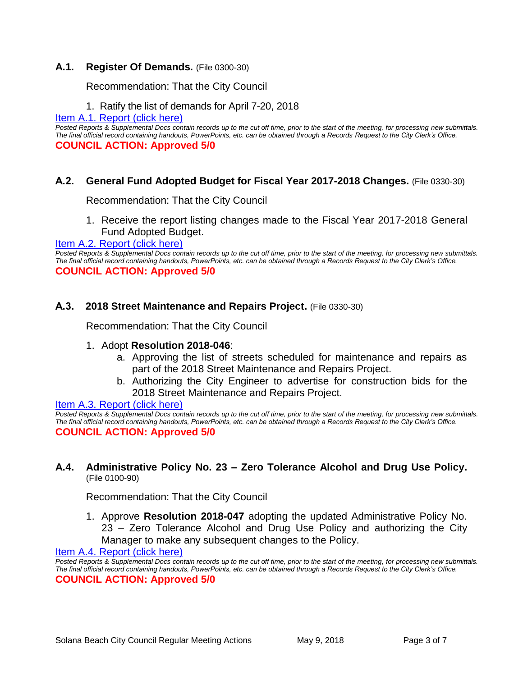## **A.1. Register Of Demands.** (File 0300-30)

Recommendation: That the City Council

## 1. Ratify the list of demands for April 7-20, 2018

[Item A.1. Report](https://solanabeach.govoffice3.com/vertical/Sites/%7B840804C2-F869-4904-9AE3-720581350CE7%7D/uploads/Item_A.1._Report_(click_here)_5-9-18.PDF) (click here)

*Posted Reports & Supplemental Docs contain records up to the cut off time, prior to the start of the meeting, for processing new submittals. The final official record containing handouts, PowerPoints, etc. can be obtained through a Records Request to the City Clerk's Office.* **COUNCIL ACTION: Approved 5/0**

## **A.2. General Fund Adopted Budget for Fiscal Year 2017-2018 Changes.** (File 0330-30)

Recommendation: That the City Council

1. Receive the report listing changes made to the Fiscal Year 2017-2018 General Fund Adopted Budget.

## [Item A.2. Report \(click here\)](https://solanabeach.govoffice3.com/vertical/Sites/%7B840804C2-F869-4904-9AE3-720581350CE7%7D/uploads/Item_A.2._Report_(click_here)_5-9-18.PDF)

*Posted Reports & Supplemental Docs contain records up to the cut off time, prior to the start of the meeting, for processing new submittals. The final official record containing handouts, PowerPoints, etc. can be obtained through a Records Request to the City Clerk's Office.* **COUNCIL ACTION: Approved 5/0**

#### **A.3. 2018 Street Maintenance and Repairs Project.** (File 0330-30)

Recommendation: That the City Council

#### 1. Adopt **Resolution 2018-046**:

- a. Approving the list of streets scheduled for maintenance and repairs as part of the 2018 Street Maintenance and Repairs Project.
- b. Authorizing the City Engineer to advertise for construction bids for the 2018 Street Maintenance and Repairs Project.

[Item A.3. Report \(click here\)](https://solanabeach.govoffice3.com/vertical/Sites/%7B840804C2-F869-4904-9AE3-720581350CE7%7D/uploads/Item_A.3._Report_(click_here)_5-9-18.PDF)

*Posted Reports & Supplemental Docs contain records up to the cut off time, prior to the start of the meeting, for processing new submittals. The final official record containing handouts, PowerPoints, etc. can be obtained through a Records Request to the City Clerk's Office.* **COUNCIL ACTION: Approved 5/0**

#### **A.4. Administrative Policy No. 23 – Zero Tolerance Alcohol and Drug Use Policy.** (File 0100-90)

Recommendation: That the City Council

1. Approve **Resolution 2018-047** adopting the updated Administrative Policy No. 23 – Zero Tolerance Alcohol and Drug Use Policy and authorizing the City Manager to make any subsequent changes to the Policy.

[Item A.4. Report \(click here\)](https://solanabeach.govoffice3.com/vertical/Sites/%7B840804C2-F869-4904-9AE3-720581350CE7%7D/uploads/Item_A.4._Report_(click_here)_5-9-18.PDF)

*Posted Reports & Supplemental Docs contain records up to the cut off time, prior to the start of the meeting, for processing new submittals. The final official record containing handouts, PowerPoints, etc. can be obtained through a Records Request to the City Clerk's Office.* **COUNCIL ACTION: Approved 5/0**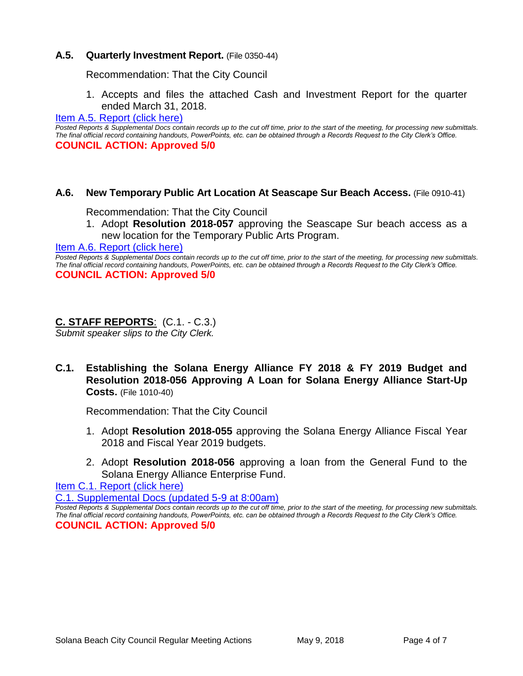## **A.5. Quarterly Investment Report.** (File 0350-44)

Recommendation: That the City Council

1. Accepts and files the attached Cash and Investment Report for the quarter ended March 31, 2018.

#### [Item A.5. Report \(click here\)](https://solanabeach.govoffice3.com/vertical/Sites/%7B840804C2-F869-4904-9AE3-720581350CE7%7D/uploads/Item_A.5._Report_(click_here)_5-9-18.PDF)

*Posted Reports & Supplemental Docs contain records up to the cut off time, prior to the start of the meeting, for processing new submittals. The final official record containing handouts, PowerPoints, etc. can be obtained through a Records Request to the City Clerk's Office.* **COUNCIL ACTION: Approved 5/0**

#### **A.6. New Temporary Public Art Location At Seascape Sur Beach Access.** (File 0910-41)

#### Recommendation: That the City Council

1. Adopt **Resolution 2018-057** approving the Seascape Sur beach access as a new location for the Temporary Public Arts Program.

#### [Item A.6. Report \(click here\)](https://solanabeach.govoffice3.com/vertical/Sites/%7B840804C2-F869-4904-9AE3-720581350CE7%7D/uploads/Item_A.6._Report_(click_here)_5-9-18.PDF)

*Posted Reports & Supplemental Docs contain records up to the cut off time, prior to the start of the meeting, for processing new submittals. The final official record containing handouts, PowerPoints, etc. can be obtained through a Records Request to the City Clerk's Office.* **COUNCIL ACTION: Approved 5/0**

## **C. STAFF REPORTS**: (C.1. - C.3.)

*Submit speaker slips to the City Clerk.*

**C.1. Establishing the Solana Energy Alliance FY 2018 & FY 2019 Budget and Resolution 2018-056 Approving A Loan for Solana Energy Alliance Start-Up Costs.** (File 1010-40)

Recommendation: That the City Council

- 1. Adopt **Resolution 2018-055** approving the Solana Energy Alliance Fiscal Year 2018 and Fiscal Year 2019 budgets.
- 2. Adopt **Resolution 2018-056** approving a loan from the General Fund to the Solana Energy Alliance Enterprise Fund.

[Item C.1. Report \(click here\)](https://solanabeach.govoffice3.com/vertical/Sites/%7B840804C2-F869-4904-9AE3-720581350CE7%7D/uploads/Item_C.1._Report_(click_here)_5-9-18.pdf)

[C.1. Supplemental Docs \(updated 5-9 at 8:00am\)](https://solanabeach.govoffice3.com/vertical/Sites/%7B840804C2-F869-4904-9AE3-720581350CE7%7D/uploads/C.1._Supplemental_Docs_(updated_5-9_at_8am).PDF)

*Posted Reports & Supplemental Docs contain records up to the cut off time, prior to the start of the meeting, for processing new submittals. The final official record containing handouts, PowerPoints, etc. can be obtained through a Records Request to the City Clerk's Office.* **COUNCIL ACTION: Approved 5/0**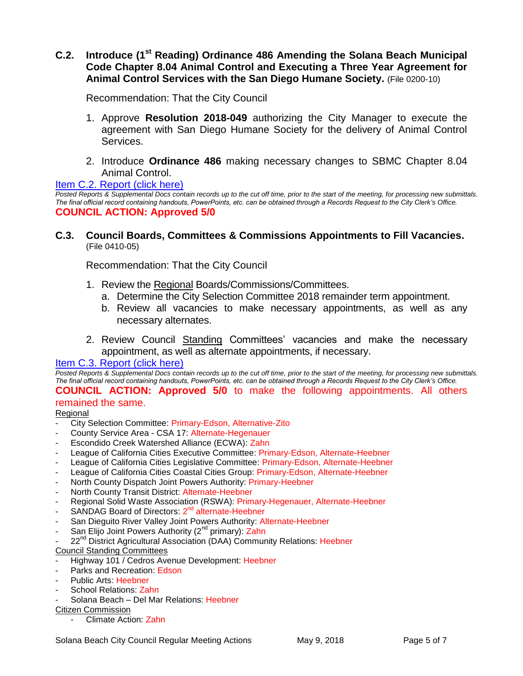## **C.2. Introduce (1st Reading) Ordinance 486 Amending the Solana Beach Municipal Code Chapter 8.04 Animal Control and Executing a Three Year Agreement for Animal Control Services with the San Diego Humane Society.** (File 0200-10)

Recommendation: That the City Council

- 1. Approve **Resolution 2018-049** authorizing the City Manager to execute the agreement with San Diego Humane Society for the delivery of Animal Control Services.
- 2. Introduce **Ordinance 486** making necessary changes to SBMC Chapter 8.04 Animal Control.

[Item C.2. Report \(click here\)](https://solanabeach.govoffice3.com/vertical/Sites/%7B840804C2-F869-4904-9AE3-720581350CE7%7D/uploads/Item_C.2._Report_(click_here)_5-9-18.PDF)

*Posted Reports & Supplemental Docs contain records up to the cut off time, prior to the start of the meeting, for processing new submittals. The final official record containing handouts, PowerPoints, etc. can be obtained through a Records Request to the City Clerk's Office.* **COUNCIL ACTION: Approved 5/0**

#### **C.3. Council Boards, Committees & Commissions Appointments to Fill Vacancies.** (File 0410-05)

Recommendation: That the City Council

- 1. Review the Regional Boards/Commissions/Committees.
	- a. Determine the City Selection Committee 2018 remainder term appointment.
	- b. Review all vacancies to make necessary appointments, as well as any necessary alternates.
- 2. Review Council Standing Committees' vacancies and make the necessary appointment, as well as alternate appointments, if necessary.

#### [Item C.3. Report](https://solanabeach.govoffice3.com/vertical/Sites/%7B840804C2-F869-4904-9AE3-720581350CE7%7D/uploads/Item_C.3._Report_(click_here)_5-9-18.PDF) (click here)

*Posted Reports & Supplemental Docs contain records up to the cut off time, prior to the start of the meeting, for processing new submittals. The final official record containing handouts, PowerPoints, etc. can be obtained through a Records Request to the City Clerk's Office.*

**COUNCIL ACTION: Approved 5/0** to make the following appointments. All others remained the same.

Regional

- City Selection Committee: Primary-Edson, Alternative-Zito
- County Service Area CSA 17: Alternate-Hegenauer
- Escondido Creek Watershed Alliance (ECWA): Zahn
- League of California Cities Executive Committee: Primary-Edson, Alternate-Heebner
- League of California Cities Legislative Committee: Primary-Edson, Alternate-Heebner
- League of California Cities Coastal Cities Group: Primary-Edson, Alternate-Heebner
- North County Dispatch Joint Powers Authority: Primary-Heebner
- North County Transit District: Alternate-Heebner
- Regional Solid Waste Association (RSWA): Primary-Hegenauer, Alternate-Heebner
- SANDAG Board of Directors: 2<sup>nd</sup> alternate-Heebner
- San Dieguito River Valley Joint Powers Authority: Alternate-Heebner
- San Elijo Joint Powers Authority (2<sup>nd</sup> primary): Zahn
- 22<sup>nd</sup> District Agricultural Association (DAA) Community Relations: Heebner
- Council Standing Committees
- Highway 101 / Cedros Avenue Development: Heebner
- Parks and Recreation: Edson
- Public Arts: Heebner
- School Relations: Zahn
- Solana Beach Del Mar Relations: Heebner

#### Citizen Commission

- Climate Action: Zahn

Solana Beach City Council Regular Meeting Actions May 9, 2018 Page 5 of 7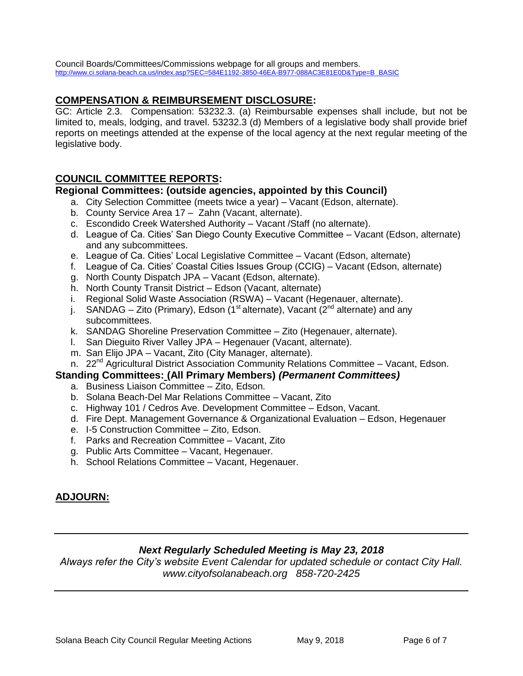Council Boards/Committees/Commissions webpage for all groups and members. [http://www.ci.solana-beach.ca.us/index.asp?SEC=584E1192-3850-46EA-B977-088AC3E81E0D&Type=B\\_BASIC](http://www.ci.solana-beach.ca.us/index.asp?SEC=584E1192-3850-46EA-B977-088AC3E81E0D&Type=B_BASIC)

## **COMPENSATION & REIMBURSEMENT DISCLOSURE:**

GC: Article 2.3. Compensation: 53232.3. (a) Reimbursable expenses shall include, but not be limited to, meals, lodging, and travel. 53232.3 (d) Members of a legislative body shall provide brief reports on meetings attended at the expense of the local agency at the next regular meeting of the legislative body.

## **COUNCIL COMMITTEE REPORTS:**

## **Regional Committees: (outside agencies, appointed by this Council)**

- a. City Selection Committee (meets twice a year) Vacant (Edson, alternate).
- b. County Service Area 17 Zahn (Vacant, alternate).
- c. Escondido Creek Watershed Authority Vacant /Staff (no alternate).
- d. League of Ca. Cities' San Diego County Executive Committee Vacant (Edson, alternate) and any subcommittees.
- e. League of Ca. Cities' Local Legislative Committee Vacant (Edson, alternate)
- f. League of Ca. Cities' Coastal Cities Issues Group (CCIG) Vacant (Edson, alternate)
- g. North County Dispatch JPA Vacant (Edson, alternate).
- h. North County Transit District Edson (Vacant, alternate)
- i. Regional Solid Waste Association (RSWA) Vacant (Hegenauer, alternate).
- j. SANDAG Zito (Primary), Edson (1<sup>st</sup> alternate), Vacant (2<sup>nd</sup> alternate) and any subcommittees.
- k. SANDAG Shoreline Preservation Committee Zito (Hegenauer, alternate).
- l. San Dieguito River Valley JPA Hegenauer (Vacant, alternate).
- m. San Elijo JPA Vacant, Zito (City Manager, alternate).
- n. 22<sup>nd</sup> Agricultural District Association Community Relations Committee Vacant, Edson.

#### **Standing Committees: (All Primary Members)** *(Permanent Committees)*

- a. Business Liaison Committee Zito, Edson.
- b. Solana Beach-Del Mar Relations Committee Vacant, Zito
- c. Highway 101 / Cedros Ave. Development Committee Edson, Vacant.
- d. Fire Dept. Management Governance & Organizational Evaluation Edson, Hegenauer
- e. I-5 Construction Committee Zito, Edson.
- f. Parks and Recreation Committee Vacant, Zito
- g. Public Arts Committee Vacant, Hegenauer.
- h. School Relations Committee Vacant, Hegenauer.

# **ADJOURN:**

## *Next Regularly Scheduled Meeting is May 23, 2018*

*Always refer the City's website Event Calendar for updated schedule or contact City Hall. www.cityofsolanabeach.org 858-720-2425*